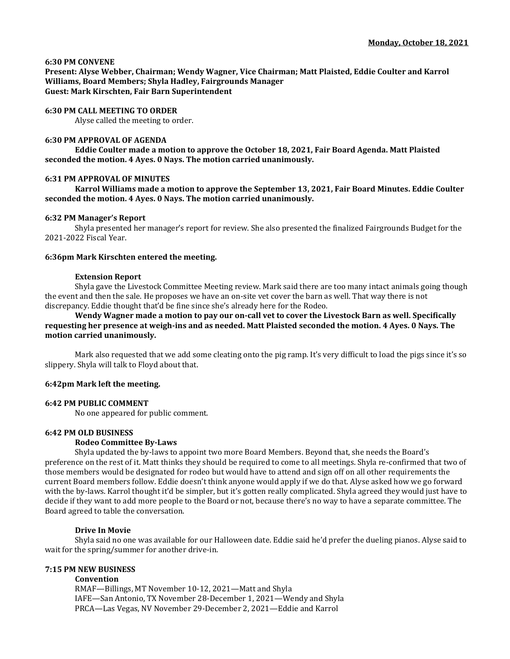#### **6:30 PM CONVENE**

**Present: Alyse Webber, Chairman; Wendy Wagner, Vice Chairman; Matt Plaisted, Eddie Coulter and Karrol Williams, Board Members; Shyla Hadley, Fairgrounds Manager Guest: Mark Kirschten, Fair Barn Superintendent** 

## **6:30 PM CALL MEETING TO ORDER**

Alyse called the meeting to order.

#### **6:30 PM APPROVAL OF AGENDA**

**Eddie Coulter made a motion to approve the October 18, 2021, Fair Board Agenda. Matt Plaisted seconded the motion. 4 Ayes. 0 Nays. The motion carried unanimously.** 

#### **6:31 PM APPROVAL OF MINUTES**

**Karrol Williams made a motion to approve the September 13, 2021, Fair Board Minutes. Eddie Coulter seconded the motion. 4 Ayes. 0 Nays. The motion carried unanimously.**

#### **6:32 PM Manager's Report**

Shyla presented her manager's report for review. She also presented the finalized Fairgrounds Budget for the 2021-2022 Fiscal Year.

#### **6:36pm Mark Kirschten entered the meeting.**

#### **Extension Report**

Shyla gave the Livestock Committee Meeting review. Mark said there are too many intact animals going though the event and then the sale. He proposes we have an on-site vet cover the barn as well. That way there is not discrepancy. Eddie thought that'd be fine since she's already here for the Rodeo.

# **Wendy Wagner made a motion to pay our on-call vet to cover the Livestock Barn as well. Specifically requesting her presence at weigh-ins and as needed. Matt Plaisted seconded the motion. 4 Ayes. 0 Nays. The motion carried unanimously.**

Mark also requested that we add some cleating onto the pig ramp. It's very difficult to load the pigs since it's so slippery. Shyla will talk to Floyd about that.

#### **6:42pm Mark left the meeting.**

## **6:42 PM PUBLIC COMMENT**

No one appeared for public comment.

## **6:42 PM OLD BUSINESS**

## **Rodeo Committee By-Laws**

Shyla updated the by-laws to appoint two more Board Members. Beyond that, she needs the Board's preference on the rest of it. Matt thinks they should be required to come to all meetings. Shyla re-confirmed that two of those members would be designated for rodeo but would have to attend and sign off on all other requirements the current Board members follow. Eddie doesn't think anyone would apply if we do that. Alyse asked how we go forward with the by-laws. Karrol thought it'd be simpler, but it's gotten really complicated. Shyla agreed they would just have to decide if they want to add more people to the Board or not, because there's no way to have a separate committee. The Board agreed to table the conversation.

## **Drive In Movie**

Shyla said no one was available for our Halloween date. Eddie said he'd prefer the dueling pianos. Alyse said to wait for the spring/summer for another drive-in.

## **7:15 PM NEW BUSINESS**

#### **Convention**

RMAF—Billings, MT November 10-12, 2021—Matt and Shyla IAFE—San Antonio, TX November 28-December 1, 2021—Wendy and Shyla PRCA—Las Vegas, NV November 29-December 2, 2021—Eddie and Karrol